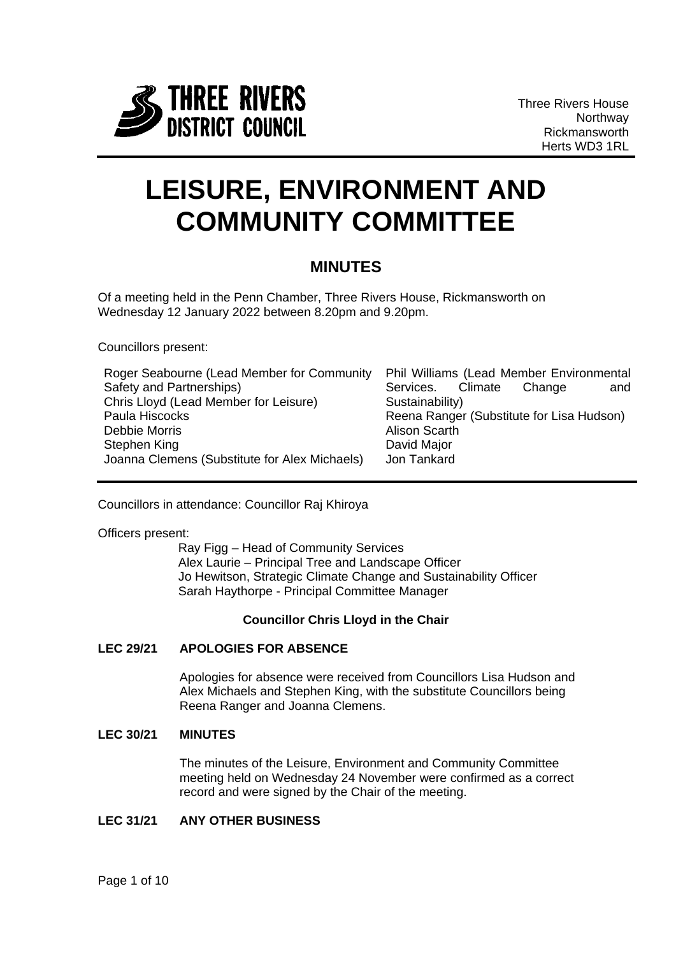

Three Rivers House Northway Rickmansworth Herts WD3 1RL

# **LEISURE, ENVIRONMENT AND COMMUNITY COMMITTEE**

# **MINUTES**

Of a meeting held in the Penn Chamber, Three Rivers House, Rickmansworth on Wednesday 12 January 2022 between 8.20pm and 9.20pm.

Councillors present:

| Roger Seabourne (Lead Member for Community    | Phil Williams (Lead Member Environmental  |
|-----------------------------------------------|-------------------------------------------|
| Safety and Partnerships)                      | Services. Climate<br>Change<br>and        |
| Chris Lloyd (Lead Member for Leisure)         | Sustainability)                           |
| Paula Hiscocks                                | Reena Ranger (Substitute for Lisa Hudson) |
| Debbie Morris                                 | <b>Alison Scarth</b>                      |
| Stephen King                                  | David Major                               |
| Joanna Clemens (Substitute for Alex Michaels) | Jon Tankard                               |

Councillors in attendance: Councillor Raj Khiroya

Officers present:

Ray Figg – Head of Community Services Alex Laurie – Principal Tree and Landscape Officer Jo Hewitson, Strategic Climate Change and Sustainability Officer Sarah Haythorpe - Principal Committee Manager

#### **Councillor Chris Lloyd in the Chair**

#### **LEC 29/21 APOLOGIES FOR ABSENCE**

Apologies for absence were received from Councillors Lisa Hudson and Alex Michaels and Stephen King, with the substitute Councillors being Reena Ranger and Joanna Clemens.

#### **LEC 30/21 MINUTES**

The minutes of the Leisure, Environment and Community Committee meeting held on Wednesday 24 November were confirmed as a correct record and were signed by the Chair of the meeting.

### **LEC 31/21 ANY OTHER BUSINESS**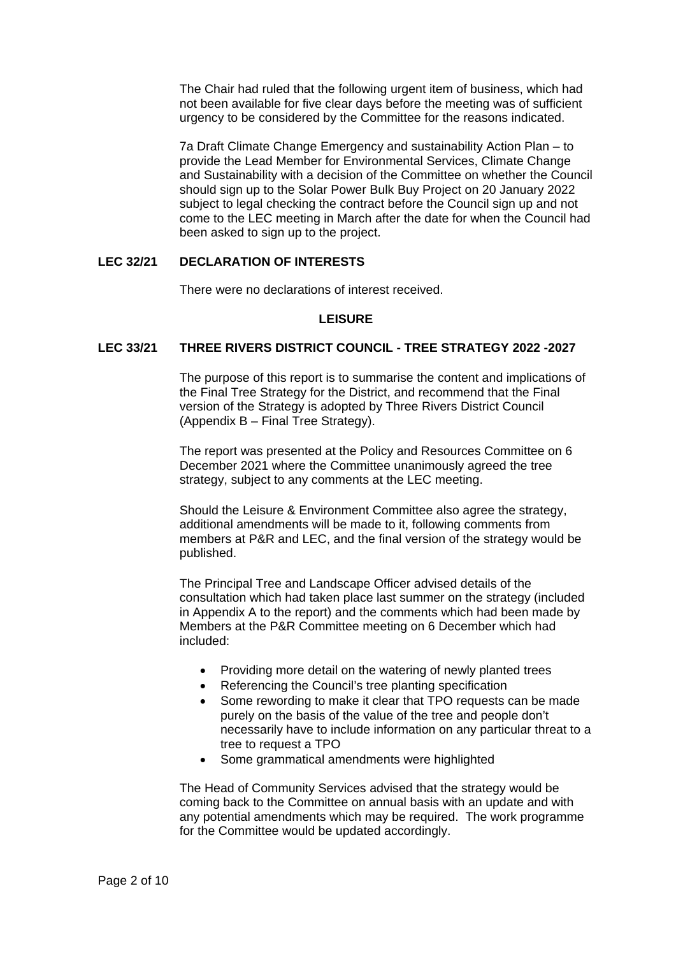The Chair had ruled that the following urgent item of business, which had not been available for five clear days before the meeting was of sufficient urgency to be considered by the Committee for the reasons indicated.

7a Draft Climate Change Emergency and sustainability Action Plan – to provide the Lead Member for Environmental Services, Climate Change and Sustainability with a decision of the Committee on whether the Council should sign up to the Solar Power Bulk Buy Project on 20 January 2022 subject to legal checking the contract before the Council sign up and not come to the LEC meeting in March after the date for when the Council had been asked to sign up to the project.

#### **LEC 32/21 DECLARATION OF INTERESTS**

There were no declarations of interest received.

#### **LEISURE**

# **LEC 33/21 THREE RIVERS DISTRICT COUNCIL - TREE STRATEGY 2022 -2027**

The purpose of this report is to summarise the content and implications of the Final Tree Strategy for the District, and recommend that the Final version of the Strategy is adopted by Three Rivers District Council (Appendix B – Final Tree Strategy).

The report was presented at the Policy and Resources Committee on 6 December 2021 where the Committee unanimously agreed the tree strategy, subject to any comments at the LEC meeting.

Should the Leisure & Environment Committee also agree the strategy, additional amendments will be made to it, following comments from members at P&R and LEC, and the final version of the strategy would be published.

The Principal Tree and Landscape Officer advised details of the consultation which had taken place last summer on the strategy (included in Appendix A to the report) and the comments which had been made by Members at the P&R Committee meeting on 6 December which had included:

- Providing more detail on the watering of newly planted trees
- Referencing the Council's tree planting specification
- Some rewording to make it clear that TPO requests can be made purely on the basis of the value of the tree and people don't necessarily have to include information on any particular threat to a tree to request a TPO
- Some grammatical amendments were highlighted

The Head of Community Services advised that the strategy would be coming back to the Committee on annual basis with an update and with any potential amendments which may be required. The work programme for the Committee would be updated accordingly.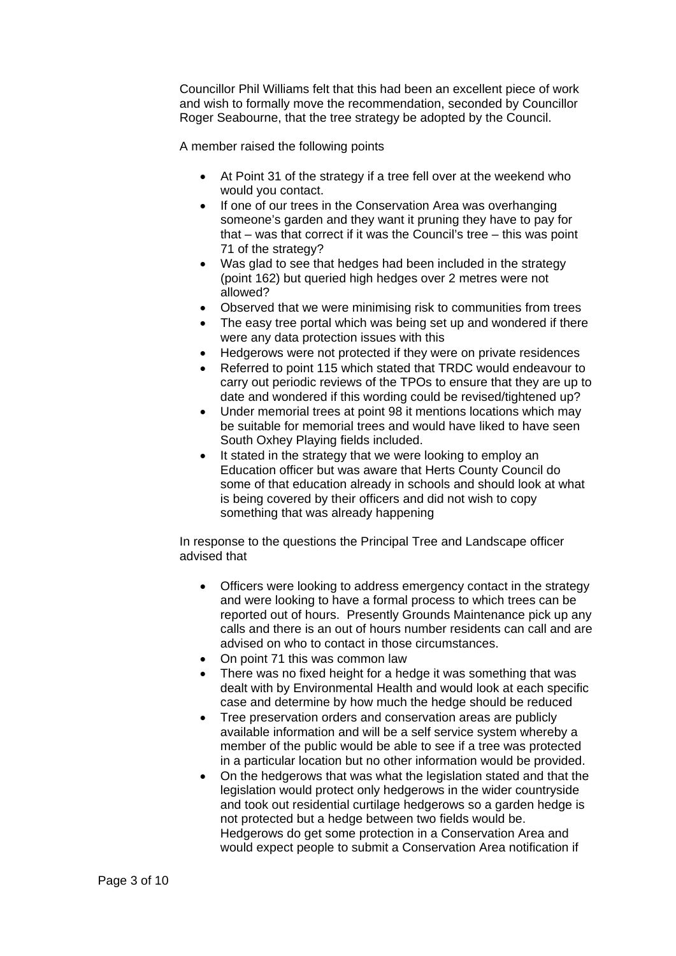Councillor Phil Williams felt that this had been an excellent piece of work and wish to formally move the recommendation, seconded by Councillor Roger Seabourne, that the tree strategy be adopted by the Council.

A member raised the following points

- At Point 31 of the strategy if a tree fell over at the weekend who would you contact.
- If one of our trees in the Conservation Area was overhanging someone's garden and they want it pruning they have to pay for that – was that correct if it was the Council's tree – this was point 71 of the strategy?
- Was glad to see that hedges had been included in the strategy (point 162) but queried high hedges over 2 metres were not allowed?
- Observed that we were minimising risk to communities from trees
- The easy tree portal which was being set up and wondered if there were any data protection issues with this
- Hedgerows were not protected if they were on private residences
- Referred to point 115 which stated that TRDC would endeavour to carry out periodic reviews of the TPOs to ensure that they are up to date and wondered if this wording could be revised/tightened up?
- Under memorial trees at point 98 it mentions locations which may be suitable for memorial trees and would have liked to have seen South Oxhey Playing fields included.
- It stated in the strategy that we were looking to employ an Education officer but was aware that Herts County Council do some of that education already in schools and should look at what is being covered by their officers and did not wish to copy something that was already happening

In response to the questions the Principal Tree and Landscape officer advised that

- Officers were looking to address emergency contact in the strategy and were looking to have a formal process to which trees can be reported out of hours. Presently Grounds Maintenance pick up any calls and there is an out of hours number residents can call and are advised on who to contact in those circumstances.
- On point 71 this was common law
- There was no fixed height for a hedge it was something that was dealt with by Environmental Health and would look at each specific case and determine by how much the hedge should be reduced
- Tree preservation orders and conservation areas are publicly available information and will be a self service system whereby a member of the public would be able to see if a tree was protected in a particular location but no other information would be provided.
- On the hedgerows that was what the legislation stated and that the legislation would protect only hedgerows in the wider countryside and took out residential curtilage hedgerows so a garden hedge is not protected but a hedge between two fields would be. Hedgerows do get some protection in a Conservation Area and would expect people to submit a Conservation Area notification if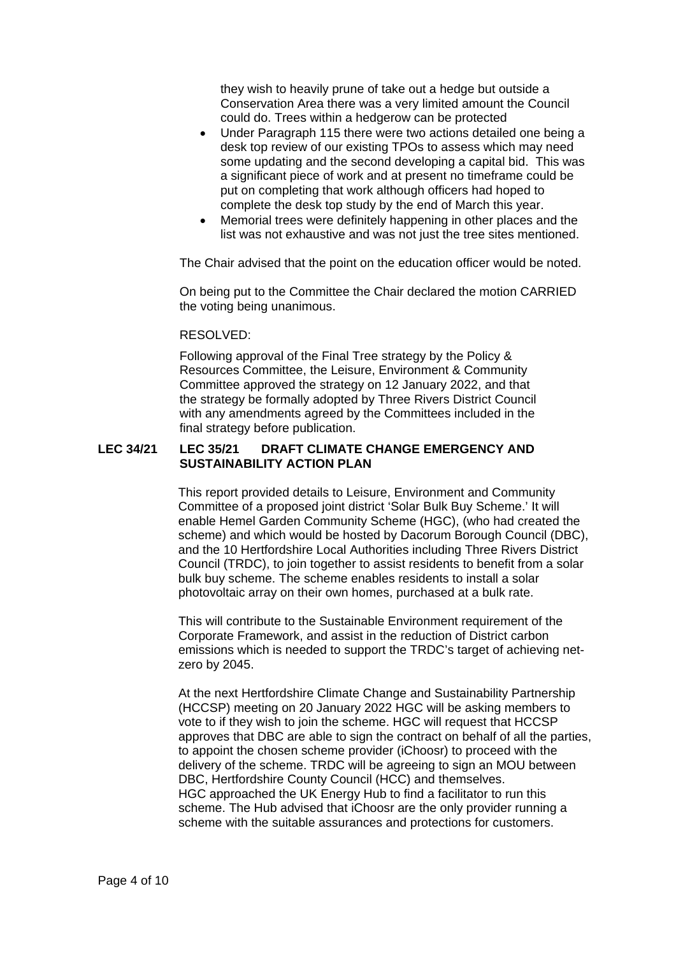they wish to heavily prune of take out a hedge but outside a Conservation Area there was a very limited amount the Council could do. Trees within a hedgerow can be protected

- Under Paragraph 115 there were two actions detailed one being a desk top review of our existing TPOs to assess which may need some updating and the second developing a capital bid. This was a significant piece of work and at present no timeframe could be put on completing that work although officers had hoped to complete the desk top study by the end of March this year.
- Memorial trees were definitely happening in other places and the list was not exhaustive and was not just the tree sites mentioned.

The Chair advised that the point on the education officer would be noted.

On being put to the Committee the Chair declared the motion CARRIED the voting being unanimous.

#### RESOLVED:

Following approval of the Final Tree strategy by the Policy & Resources Committee, the Leisure, Environment & Community Committee approved the strategy on 12 January 2022, and that the strategy be formally adopted by Three Rivers District Council with any amendments agreed by the Committees included in the final strategy before publication.

#### **LEC 34/21 LEC 35/21 DRAFT CLIMATE CHANGE EMERGENCY AND SUSTAINABILITY ACTION PLAN**

This report provided details to Leisure, Environment and Community Committee of a proposed joint district 'Solar Bulk Buy Scheme.' It will enable Hemel Garden Community Scheme (HGC), (who had created the scheme) and which would be hosted by Dacorum Borough Council (DBC), and the 10 Hertfordshire Local Authorities including Three Rivers District Council (TRDC), to join together to assist residents to benefit from a solar bulk buy scheme. The scheme enables residents to install a solar photovoltaic array on their own homes, purchased at a bulk rate.

This will contribute to the Sustainable Environment requirement of the Corporate Framework, and assist in the reduction of District carbon emissions which is needed to support the TRDC's target of achieving netzero by 2045.

At the next Hertfordshire Climate Change and Sustainability Partnership (HCCSP) meeting on 20 January 2022 HGC will be asking members to vote to if they wish to join the scheme. HGC will request that HCCSP approves that DBC are able to sign the contract on behalf of all the parties, to appoint the chosen scheme provider (iChoosr) to proceed with the delivery of the scheme. TRDC will be agreeing to sign an MOU between DBC, Hertfordshire County Council (HCC) and themselves. HGC approached the UK Energy Hub to find a facilitator to run this scheme. The Hub advised that iChoosr are the only provider running a scheme with the suitable assurances and protections for customers.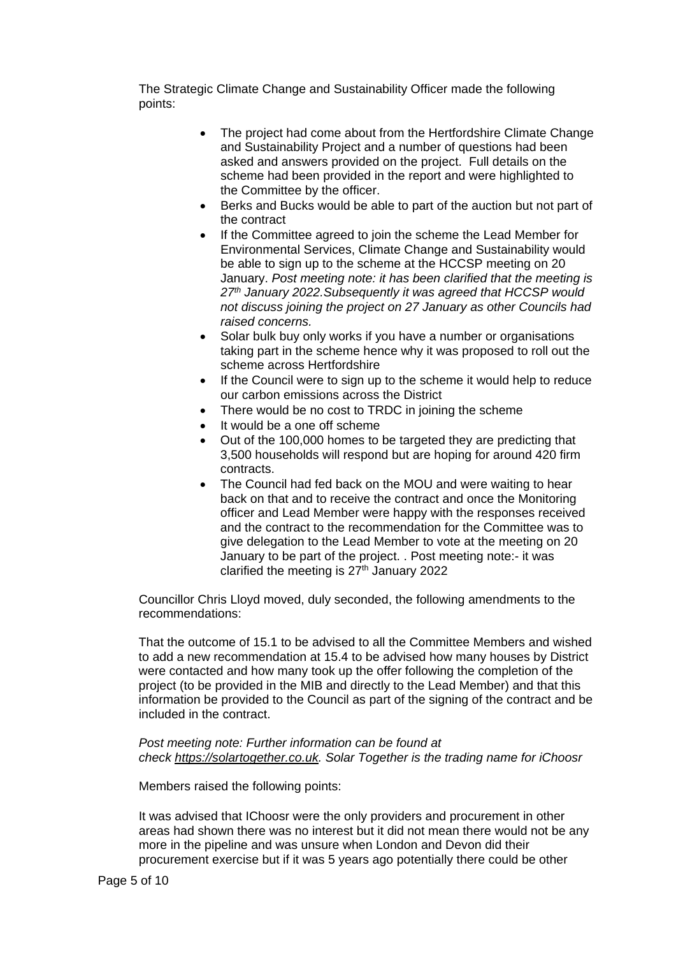The Strategic Climate Change and Sustainability Officer made the following points:

- The project had come about from the Hertfordshire Climate Change and Sustainability Project and a number of questions had been asked and answers provided on the project. Full details on the scheme had been provided in the report and were highlighted to the Committee by the officer.
- Berks and Bucks would be able to part of the auction but not part of the contract
- If the Committee agreed to join the scheme the Lead Member for Environmental Services, Climate Change and Sustainability would be able to sign up to the scheme at the HCCSP meeting on 20 January. *Post meeting note: it has been clarified that the meeting is 27th January 2022.Subsequently it was agreed that HCCSP would not discuss joining the project on 27 January as other Councils had raised concerns.*
- Solar bulk buy only works if you have a number or organisations taking part in the scheme hence why it was proposed to roll out the scheme across Hertfordshire
- If the Council were to sign up to the scheme it would help to reduce our carbon emissions across the District
- There would be no cost to TRDC in joining the scheme
- It would be a one off scheme
- Out of the 100,000 homes to be targeted they are predicting that 3,500 households will respond but are hoping for around 420 firm contracts.
- The Council had fed back on the MOU and were waiting to hear back on that and to receive the contract and once the Monitoring officer and Lead Member were happy with the responses received and the contract to the recommendation for the Committee was to give delegation to the Lead Member to vote at the meeting on 20 January to be part of the project. . Post meeting note:- it was clarified the meeting is  $27<sup>th</sup>$  January 2022

Councillor Chris Lloyd moved, duly seconded, the following amendments to the recommendations:

That the outcome of 15.1 to be advised to all the Committee Members and wished to add a new recommendation at 15.4 to be advised how many houses by District were contacted and how many took up the offer following the completion of the project (to be provided in the MIB and directly to the Lead Member) and that this information be provided to the Council as part of the signing of the contract and be included in the contract.

#### *Post meeting note: Further information can be found at check [https://solartogether.co.uk.](https://solartogether.co.uk/) Solar Together is the trading name for iChoosr*

Members raised the following points:

It was advised that IChoosr were the only providers and procurement in other areas had shown there was no interest but it did not mean there would not be any more in the pipeline and was unsure when London and Devon did their procurement exercise but if it was 5 years ago potentially there could be other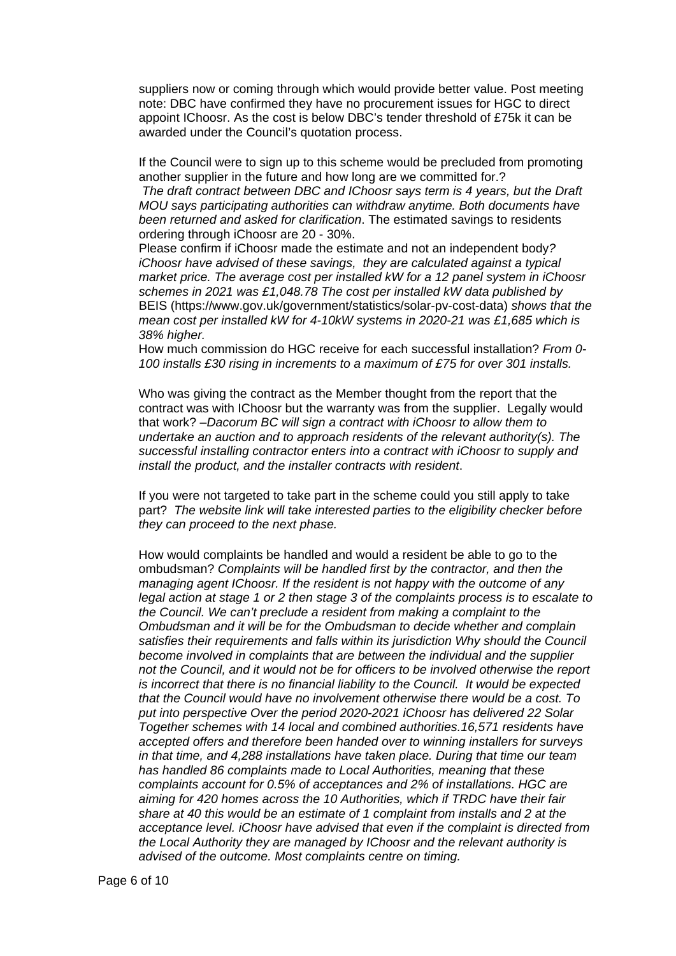suppliers now or coming through which would provide better value. Post meeting note: DBC have confirmed they have no procurement issues for HGC to direct appoint IChoosr. As the cost is below DBC's tender threshold of £75k it can be awarded under the Council's quotation process.

If the Council were to sign up to this scheme would be precluded from promoting another supplier in the future and how long are we committed for.?

*The draft contract between DBC and IChoosr says term is 4 years, but the Draft MOU says participating authorities can withdraw anytime. Both documents have been returned and asked for clarification*. The estimated savings to residents ordering through iChoosr are 20 - 30%.

Please confirm if iChoosr made the estimate and not an independent body*? iChoosr have advised of these savings, they are calculated against a typical market price. The average cost per installed kW for a 12 panel system in iChoosr schemes in 2021 was £1,048.78 The cost per installed kW data published by*  BEIS [\(https://www.gov.uk/government/statistics/solar-pv-cost-data\)](https://www.gov.uk/government/statistics/solar-pv-cost-data) *shows that the mean cost per installed kW for 4-10kW systems in 2020-21 was £1,685 which is 38% higher.*

How much commission do HGC receive for each successful installation? *From 0- 100 installs £30 rising in increments to a maximum of £75 for over 301 installs.*

Who was giving the contract as the Member thought from the report that the contract was with IChoosr but the warranty was from the supplier. Legally would that work? –*Dacorum BC will sign a contract with iChoosr to allow them to undertake an auction and to approach residents of the relevant authority(s). The successful installing contractor enters into a contract with iChoosr to supply and install the product, and the installer contracts with resident*.

If you were not targeted to take part in the scheme could you still apply to take part? *The website link will take interested parties to the eligibility checker before they can proceed to the next phase.*

How would complaints be handled and would a resident be able to go to the ombudsman? *Complaints will be handled first by the contractor, and then the managing agent IChoosr. If the resident is not happy with the outcome of any legal action at stage 1 or 2 then stage 3 of the complaints process is to escalate to the Council. We can't preclude a resident from making a complaint to the Ombudsman and it will be for the Ombudsman to decide whether and complain satisfies their requirements and falls within its jurisdiction Why should the Council become involved in complaints that are between the individual and the supplier not the Council, and it would not be for officers to be involved otherwise the report is incorrect that there is no financial liability to the Council. It would be expected that the Council would have no involvement otherwise there would be a cost. To put into perspective Over the period 2020-2021 iChoosr has delivered 22 Solar Together schemes with 14 local and combined authorities.16,571 residents have accepted offers and therefore been handed over to winning installers for surveys in that time, and 4,288 installations have taken place. During that time our team has handled 86 complaints made to Local Authorities, meaning that these complaints account for 0.5% of acceptances and 2% of installations. HGC are aiming for 420 homes across the 10 Authorities, which if TRDC have their fair share at 40 this would be an estimate of 1 complaint from installs and 2 at the acceptance level. iChoosr have advised that even if the complaint is directed from the Local Authority they are managed by IChoosr and the relevant authority is advised of the outcome. Most complaints centre on timing.*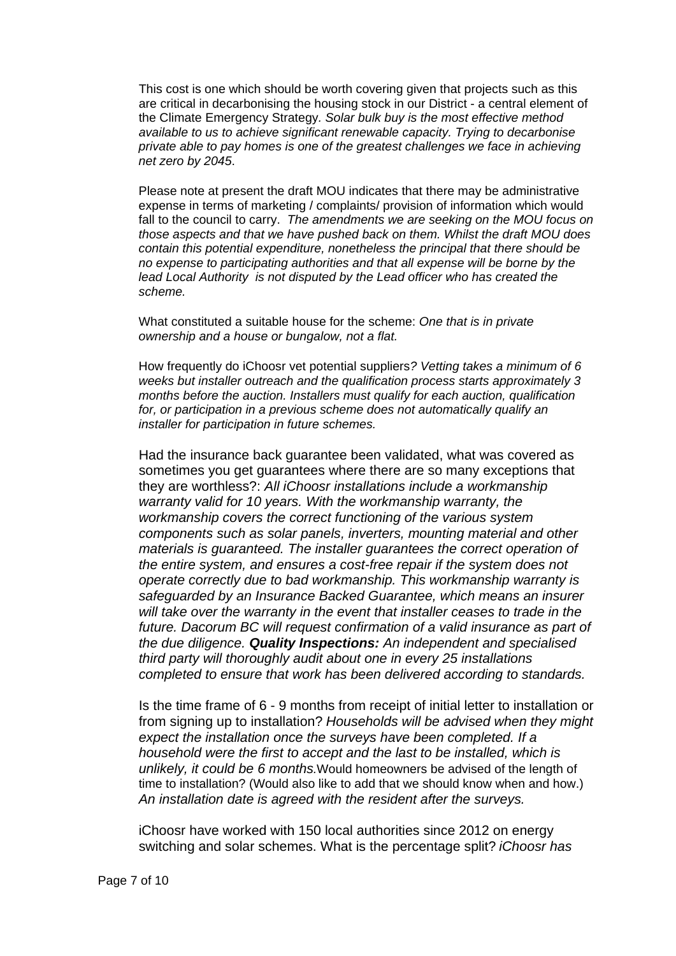This cost is one which should be worth covering given that projects such as this are critical in decarbonising the housing stock in our District - a central element of the Climate Emergency Strategy*. Solar bulk buy is the most effective method available to us to achieve significant renewable capacity. Trying to decarbonise private able to pay homes is one of the greatest challenges we face in achieving net zero by 2045*.

Please note at present the draft MOU indicates that there may be administrative expense in terms of marketing / complaints/ provision of information which would fall to the council to carry. *The amendments we are seeking on the MOU focus on those aspects and that we have pushed back on them. Whilst the draft MOU does contain this potential expenditure, nonetheless the principal that there should be no expense to participating authorities and that all expense will be borne by the lead Local Authority is not disputed by the Lead officer who has created the scheme.*

What constituted a suitable house for the scheme: *One that is in private ownership and a house or bungalow, not a flat.*

How frequently do iChoosr vet potential suppliers*? Vetting takes a minimum of 6 weeks but installer outreach and the qualification process starts approximately 3 months before the auction. Installers must qualify for each auction, qualification for, or participation in a previous scheme does not automatically qualify an installer for participation in future schemes.*

Had the insurance back guarantee been validated, what was covered as sometimes you get guarantees where there are so many exceptions that they are worthless?: *All iChoosr installations include a workmanship warranty valid for 10 years. With the workmanship warranty, the workmanship covers the correct functioning of the various system components such as solar panels, inverters, mounting material and other materials is guaranteed. The installer guarantees the correct operation of the entire system, and ensures a cost-free repair if the system does not operate correctly due to bad workmanship. This workmanship warranty is safeguarded by an Insurance Backed Guarantee, which means an insurer will take over the warranty in the event that installer ceases to trade in the future. Dacorum BC will request confirmation of a valid insurance as part of the due diligence. Quality Inspections: An independent and specialised third party will thoroughly audit about one in every 25 installations completed to ensure that work has been delivered according to standards.* 

Is the time frame of 6 - 9 months from receipt of initial letter to installation or from signing up to installation? *Households will be advised when they might expect the installation once the surveys have been completed. If a household were the first to accept and the last to be installed, which is unlikely, it could be 6 months.*Would homeowners be advised of the length of time to installation? (Would also like to add that we should know when and how.) *An installation date is agreed with the resident after the surveys.*

iChoosr have worked with 150 local authorities since 2012 on energy switching and solar schemes. What is the percentage split? *iChoosr has*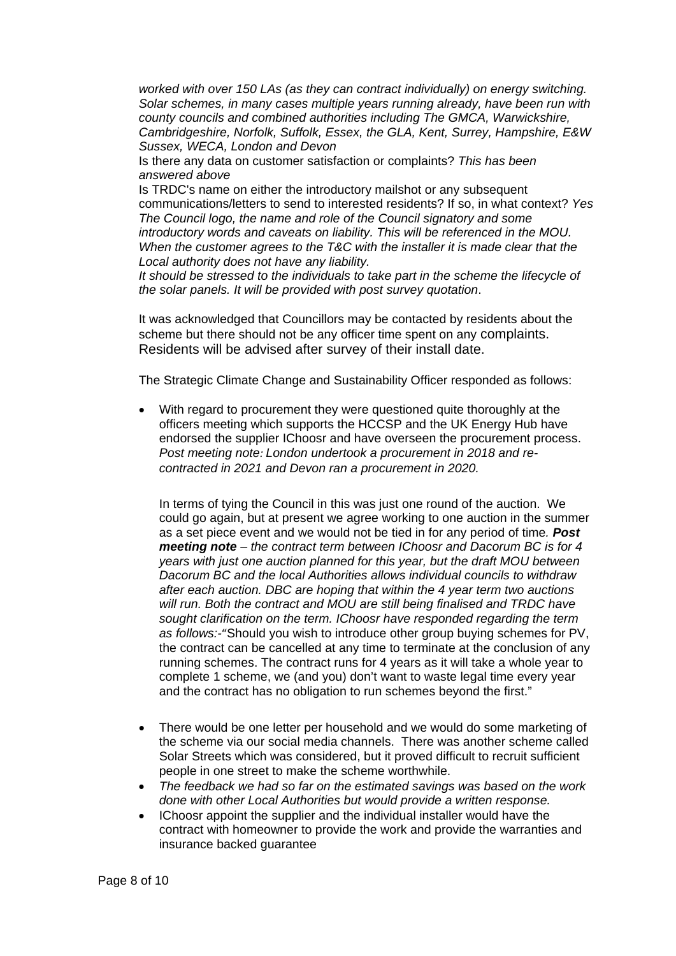*worked with over 150 LAs (as they can contract individually) on energy switching. Solar schemes, in many cases multiple years running already, have been run with county councils and combined authorities including The GMCA, Warwickshire, Cambridgeshire, Norfolk, Suffolk, Essex, the GLA, Kent, Surrey, Hampshire, E&W Sussex, WECA, London and Devon*

Is there any data on customer satisfaction or complaints? *This has been answered above*

Is TRDC's name on either the introductory mailshot or any subsequent communications/letters to send to interested residents? If so, in what context? *Yes The Council logo, the name and role of the Council signatory and some introductory words and caveats on liability. This will be referenced in the MOU. When the customer agrees to the T&C with the installer it is made clear that the Local authority does not have any liability.*

*It should be stressed to the individuals to take part in the scheme the lifecycle of the solar panels. It will be provided with post survey quotation*.

It was acknowledged that Councillors may be contacted by residents about the scheme but there should not be any officer time spent on any complaints. Residents will be advised after survey of their install date.

The Strategic Climate Change and Sustainability Officer responded as follows:

• With regard to procurement they were questioned quite thoroughly at the officers meeting which supports the HCCSP and the UK Energy Hub have endorsed the supplier IChoosr and have overseen the procurement process. *Post meeting note: London undertook a procurement in 2018 and recontracted in 2021 and Devon ran a procurement in 2020.*

In terms of tying the Council in this was just one round of the auction. We could go again, but at present we agree working to one auction in the summer as a set piece event and we would not be tied in for any period of time*. Post meeting note – the contract term between IChoosr and Dacorum BC is for 4 years with just one auction planned for this year, but the draft MOU between Dacorum BC and the local Authorities allows individual councils to withdraw after each auction. DBC are hoping that within the 4 year term two auctions will run. Both the contract and MOU are still being finalised and TRDC have sought clarification on the term. IChoosr have responded regarding the term as follows:-*"Should you wish to introduce other group buying schemes for PV, the contract can be cancelled at any time to terminate at the conclusion of any running schemes. The contract runs for 4 years as it will take a whole year to complete 1 scheme, we (and you) don't want to waste legal time every year and the contract has no obligation to run schemes beyond the first."

- There would be one letter per household and we would do some marketing of the scheme via our social media channels. There was another scheme called Solar Streets which was considered, but it proved difficult to recruit sufficient people in one street to make the scheme worthwhile.
- *The feedback we had so far on the estimated savings was based on the work done with other Local Authorities but would provide a written response.*
- IChoosr appoint the supplier and the individual installer would have the contract with homeowner to provide the work and provide the warranties and insurance backed guarantee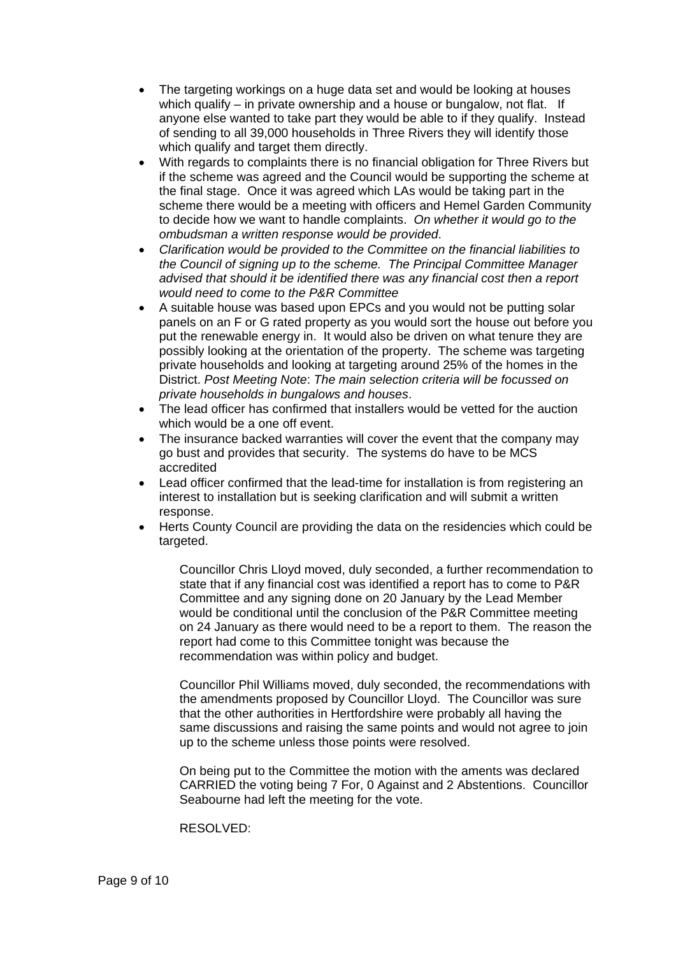- The targeting workings on a huge data set and would be looking at houses which qualify – in private ownership and a house or bungalow, not flat. If anyone else wanted to take part they would be able to if they qualify. Instead of sending to all 39,000 households in Three Rivers they will identify those which qualify and target them directly.
- With regards to complaints there is no financial obligation for Three Rivers but if the scheme was agreed and the Council would be supporting the scheme at the final stage. Once it was agreed which LAs would be taking part in the scheme there would be a meeting with officers and Hemel Garden Community to decide how we want to handle complaints. *On whether it would go to the ombudsman a written response would be provided*.
- *Clarification would be provided to the Committee on the financial liabilities to the Council of signing up to the scheme. The Principal Committee Manager advised that should it be identified there was any financial cost then a report would need to come to the P&R Committee*
- A suitable house was based upon EPCs and you would not be putting solar panels on an F or G rated property as you would sort the house out before you put the renewable energy in. It would also be driven on what tenure they are possibly looking at the orientation of the property. The scheme was targeting private households and looking at targeting around 25% of the homes in the District. *Post Meeting Note*: *The main selection criteria will be focussed on private households in bungalows and houses*.
- The lead officer has confirmed that installers would be vetted for the auction which would be a one off event.
- The insurance backed warranties will cover the event that the company may go bust and provides that security. The systems do have to be MCS accredited
- Lead officer confirmed that the lead-time for installation is from registering an interest to installation but is seeking clarification and will submit a written response.
- Herts County Council are providing the data on the residencies which could be targeted.

Councillor Chris Lloyd moved, duly seconded, a further recommendation to state that if any financial cost was identified a report has to come to P&R Committee and any signing done on 20 January by the Lead Member would be conditional until the conclusion of the P&R Committee meeting on 24 January as there would need to be a report to them. The reason the report had come to this Committee tonight was because the recommendation was within policy and budget.

Councillor Phil Williams moved, duly seconded, the recommendations with the amendments proposed by Councillor Lloyd. The Councillor was sure that the other authorities in Hertfordshire were probably all having the same discussions and raising the same points and would not agree to join up to the scheme unless those points were resolved.

On being put to the Committee the motion with the aments was declared CARRIED the voting being 7 For, 0 Against and 2 Abstentions. Councillor Seabourne had left the meeting for the vote.

RESOLVED: